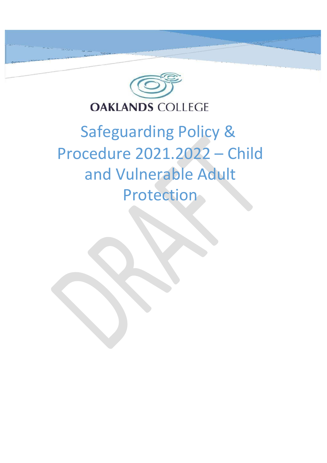

Safeguarding Policy & Procedure 2021.2022 – Child and Vulnerable Adult **Protection**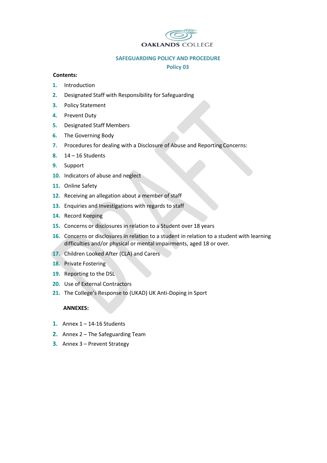

#### **SAFEGUARDING POLICY AND PROCEDURE**

#### **Policy 03**

#### **Contents:**

- **1.** Introduction
- **2.** Designated Staff with Responsibility for Safeguarding
- **3.** Policy Statement
- **4.** Prevent Duty
- **5.** Designated Staff Members
- **6.** The Governing Body
- **7.** Procedures for dealing with a Disclosure of Abuse and Reporting Concerns:
- **8.** 14 16 Students
- **9.** Support
- **10.** Indicators of abuse and neglect
- **11.** Online Safety
- **12.** Receiving an allegation about a member of staff
- **13.** Enquiries and Investigations with regards to staff
- **14.** Record Keeping
- **15.** Concerns or disclosures in relation to a Student over 18 years
- **16.** Concerns or disclosures in relation to a student in relation to a student with learning difficulties and/or physical or mental impairments, aged 18 or over.
- **17.** Children Looked After (CLA) and Carers
- **18.** Private Fostering
- **19.** Reporting to the DSL
- **20.** Use of External Contractors
- **21.** The College's Response to (UKAD) UK Anti-Doping in Sport

#### **ANNEXES:**

- **1.** Annex 1 14-16 Students
- **2.** Annex 2 The Safeguarding Team
- **3.** Annex 3 Prevent Strategy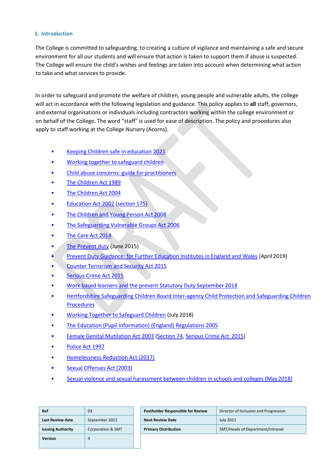### **1. Introduction**

The College is committed to safeguarding, to creating a culture of vigilance and maintaining a safe and secure environment for all our students and will ensure that action is taken to support them if abuse is suspected. The College will ensure the child's wishes and feelings are taken into account when determining what action to take and what services to provide.

In order to safeguard and promote the welfare of children, young people and vulnerable adults, the college will act in accordance with the following legislation and guidance. This policy applies to **all** staff, governors, and external organisations or individuals including contractors working within the college environment or on behalf of the College. The word "staff" is used for ease of description. The policy and procedures also apply to staff working at the College Nursery (Acorns).

- [Keeping Children safe in education 2021](https://assets.publishing.service.gov.uk/government/uploads/system/uploads/attachment_data/file/1007260/Keeping_children_safe_in_education_2021.pdf)
- [Working together to safeguard children](https://www.gov.uk/government/publications/working-together-to-safeguard-children--2)
- [Child abuse concerns: guide for practitioners](https://www.gov.uk/government/publications/what-to-do-if-youre-worried-a-child-is-being-abused--2)
- [The Children Act 1989](https://www.legislation.gov.uk/ukpga/1989/41/contents)
- The Children Act 2004
- [Education Act 2002](https://www.legislation.gov.uk/ukpga/2002/32/contents) [\(section 175\)](https://www.legislation.gov.uk/ukpga/2002/32/section/175)
- [The Children and Young Person Act 2008](https://www.legislation.gov.uk/ukpga/2008/23/contents)
- [The Safeguarding Vulnerable Groups Act 2006](https://www.legislation.gov.uk/ukpga/2006/47/contents)
- The Care Act 2014
- [The Prevent duty \(J](https://assets.publishing.service.gov.uk/government/uploads/system/uploads/attachment_data/file/439598/prevent-duty-departmental-advice-v6.pdf)une 2015)
- [Prevent Duty Guidance: for Further Education Institutes in England and Wales \(A](https://www.gov.uk/government/publications/prevent-duty-guidance/prevent-duty-guidance-for-further-education-institutions-in-england-and-wales)pril 2019)
- [Counter Terrorism and Security Act 2015](https://www.gov.uk/government/collections/counter-terrorism-and-security-bill)
- [Serious Crime Act 2015](https://www.legislation.gov.uk/ukpga/2015/9/contents)
- [Work based learners and the prevent Statutory Duty September 2018](https://assets.publishing.service.gov.uk/government/uploads/system/uploads/attachment_data/file/744673/Work_Based_Learners_Guidance.pdf)
- [Hertfordshire Safeguarding Children Board Inter-agency Child Protection and Safeguarding Children](https://hertsscb.proceduresonline.com/)  **Procedures**
- [Working Together to Safeguard Children \(J](https://www.gov.uk/government/publications/working-together-to-safeguard-children--2)uly 2018)
- [The Education \(Pupil Information\) \(England\) Regulations 2005](https://www.legislation.gov.uk/uksi/2005/1437/contents)
- [Female Genital Mutilation Act 2003](https://www.legislation.gov.uk/ukpga/2003/31/contents) [\(Section 74](https://www.legislation.gov.uk/ukpga/2015/9/section/74)[, Serious Crime Act 2015\)](https://www.legislation.gov.uk/ukpga/2015/9/contents)
- Police Act 1997
- [Homelessness Reduction Act \(2017\)](https://www.legislation.gov.uk/ukpga/2017/13/contents)
- [Sexual Offenses Act \(2003\)](https://www.legislation.gov.uk/ukpga/2003/42/contents)
- [Sexual violence and sexual harassment between children in schools and colleges \(May 2018\)](https://www.gov.uk/government/publications/sexual-violence-and-sexual-harassment-between-children-in-schools-and-colleges)

| Ref                      | 03                |
|--------------------------|-------------------|
| Last Review date         | September 2021    |
| <b>Issuing Authority</b> | Corporation & SMT |
| Version                  | q                 |

| Ref               | 03                | <b>Postholder Responsible for Review</b> | Director of Inclusion and Progression |
|-------------------|-------------------|------------------------------------------|---------------------------------------|
| Last Review date  | September 2021    | <b>Next Review Date</b>                  | July 2022                             |
| Issuing Authority | Corporation & SMT | <b>Primary Distribution</b>              | SMT/Heads of Department/Intranet      |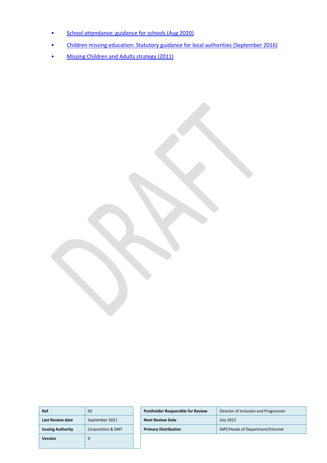- [School attendance: guidance for schools \(Aug 2020\)](https://assets.publishing.service.gov.uk/government/uploads/system/uploads/attachment_data/file/907535/School_attendance_guidance_for_2020_to_2021_academic_year.pdf)
- [Children missing education: Statutory guidance for local authorities \(September 2016\)](https://assets.publishing.service.gov.uk/government/uploads/system/uploads/attachment_data/file/550416/Children_Missing_Education_-_statutory_guidance.pdf)
- **Missing Children and Adults strategy (2011)**

| Ref                      | 03                |
|--------------------------|-------------------|
| Last Review date         | September 2021    |
| <b>Issuing Authority</b> | Corporation & SMT |
| Version                  | q                 |
|                          |                   |

| <b>Ref</b>               | 03                           | <b>Postholder Responsible for Review</b> | Director of Inclusion and Progression |
|--------------------------|------------------------------|------------------------------------------|---------------------------------------|
| Last Review date         | September 2021               | <b>Next Review Date</b>                  | <b>July 2022</b>                      |
| <b>Issuing Authority</b> | <b>Corporation &amp; SMT</b> | <b>Primary Distribution</b>              | SMT/Heads of Department/Intranet      |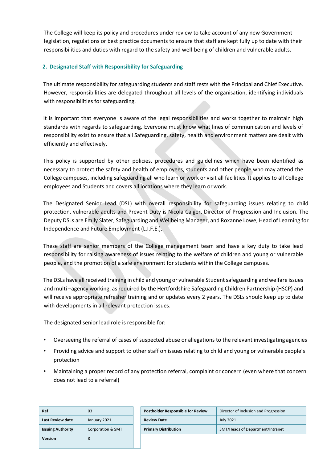The College will keep its policy and procedures under review to take account of any new Government legislation, regulations or best practice documents to ensure that staff are kept fully up to date with their responsibilities and duties with regard to the safety and well-being of children and vulnerable adults.

# **2. Designated Staff with Responsibility for Safeguarding**

The ultimate responsibility for safeguarding students and staff rests with the Principal and Chief Executive. However, responsibilities are delegated throughout all levels of the organisation, identifying individuals with responsibilities for safeguarding.

It is important that everyone is aware of the legal responsibilities and works together to maintain high standards with regards to safeguarding. Everyone must know what lines of communication and levels of responsibility exist to ensure that all Safeguarding, safety, health and environment matters are dealt with efficiently and effectively.

This policy is supported by other policies, procedures and guidelines which have been identified as necessary to protect the safety and health of employees, students and other people who may attend the College campuses, including safeguarding all who learn or work or visit all facilities. It applies to all College employees and Students and covers all locations where they learn or work.

The Designated Senior Lead (DSL) with overall responsibility for safeguarding issues relating to child protection, vulnerable adults and Prevent Duty is Nicola Caiger, Director of Progression and Inclusion. The Deputy DSLs are Emily Slater, Safeguarding and Wellbeing Manager, and Roxanne Lowe, Head of Learning for Independence and Future Employment (L.I.F.E.).

These staff are senior members of the College management team and have a key duty to take lead responsibility for raising awareness of issues relating to the welfare of children and young or vulnerable people, and the promotion of a safe environment for students within the College campuses.

The DSLs have all received training in child and young or vulnerable Student safeguarding and welfare issues and multi –agency working, as required by the Hertfordshire Safeguarding Children Partnership (HSCP) and will receive appropriate refresher training and or updates every 2 years. The DSLs should keep up to date with developments in all relevant protection issues.

The designated senior lead role is responsible for:

- Overseeing the referral of cases of suspected abuse or allegations to the relevant investigating agencies
- Providing advice and support to other staff on issues relating to child and young or vulnerable people's protection
- Maintaining a proper record of any protection referral, complaint or concern (even where that concern does not lead to a referral)

| Ref                      | 03                           |
|--------------------------|------------------------------|
| Last Review date         | January 2021                 |
| <b>Issuing Authority</b> | <b>Corporation &amp; SMT</b> |
| Version                  | 8                            |
|                          |                              |

| <b>Ref</b>        | 03                | <b>Postholder Responsible for Review</b> | Director of Inclusion and Progression |
|-------------------|-------------------|------------------------------------------|---------------------------------------|
| Last Review date  | January 2021      | <b>Review Date</b>                       | July 2021                             |
| Issuing Authority | Corporation & SMT | <b>Primary Distribution</b>              | SMT/Heads of Department/Intranet      |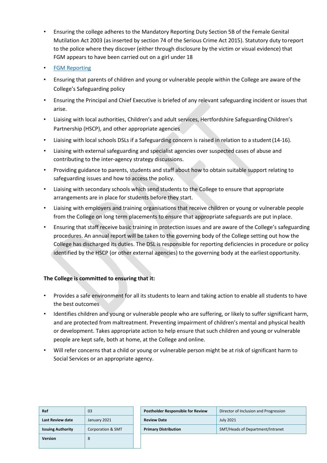- Ensuring the college adheres to the Mandatory Reporting Duty Section 5B of the Female Genital Mutilation Act 2003 (as inserted by section 74 of the Serious Crime Act 2015). Statutory duty to report to the police where they discover (either through disclosure by the victim or visual evidence) that FGM appears to have been carried out on a girl under 18
- **[FGM Reporting](https://www.gov.uk/government/publications/multi-agency-statutory-guidance-on-female-genital-mutilation)**
- Ensuring that parents of children and young or vulnerable people within the College are aware of the College's Safeguarding policy
- Ensuring the Principal and Chief Executive is briefed of any relevant safeguarding incident or issues that arise.
- Liaising with local authorities, Children's and adult services, Hertfordshire Safeguarding Children's Partnership (HSCP), and other appropriate agencies
- Liaising with local schools DSLs if a Safeguarding concern is raised in relation to a student (14-16).
- Liaising with external safeguarding and specialist agencies over suspected cases of abuse and contributing to the inter-agency strategy discussions.
- Providing guidance to parents, students and staff about how to obtain suitable support relating to safeguarding issues and how to access the policy.
- Liaising with secondary schools which send students to the College to ensure that appropriate arrangements are in place for students before they start.
- Liaising with employers and training organisations that receive children or young or vulnerable people from the College on long term placements to ensure that appropriate safeguards are put in place.
- Ensuring that staff receive basic training in protection issues and are aware of the College's safeguarding procedures. An annual report will be taken to the governing body of the College setting out how the College has discharged its duties. The DSL is responsible for reporting deficiencies in procedure or policy identified by the HSCP (or other external agencies) to the governing body at the earliest opportunity.

# **The College is committed to ensuring that it:**

- Provides a safe environment for all its students to learn and taking action to enable all students to have the best outcomes
- Identifies children and young or vulnerable people who are suffering, or likely to suffer significant harm, and are protected from maltreatment. Preventing impairment of children's mental and physical health or development. Takes appropriate action to help ensure that such children and young or vulnerable people are kept safe, both at home, at the College and online.
- Will refer concerns that a child or young or vulnerable person might be at risk of significant harm to Social Services or an appropriate agency.

| Ref                      | 03                | <b>Postholder Responsible for Review</b> | Director of Inclusion and Progression |
|--------------------------|-------------------|------------------------------------------|---------------------------------------|
| Last Review date         | January 2021      | <b>Review Date</b>                       | <b>July 2021</b>                      |
| <b>Issuing Authority</b> | Corporation & SMT | <b>Primary Distribution</b>              | SMT/Heads of Department/Intranet      |
| <b>Version</b>           | 8                 |                                          |                                       |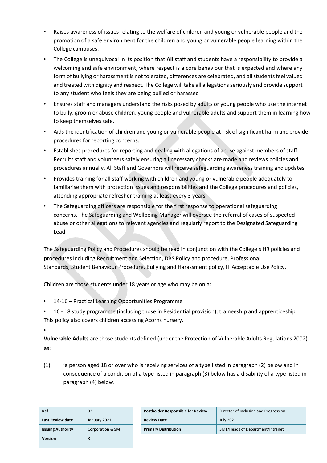- Raises awareness of issues relating to the welfare of children and young or vulnerable people and the promotion of a safe environment for the children and young or vulnerable people learning within the College campuses.
- The College is unequivocal in its position that **All** staff and students have a responsibility to provide a welcoming and safe environment, where respect is a core behaviour that is expected and where any form of bullying or harassment is not tolerated, differences are celebrated, and all students feel valued and treated with dignity and respect. The College will take all allegations seriously and provide support to any student who feels they are being bullied or harassed
- Ensures staff and managers understand the risks posed by adults or young people who use the internet to bully, groom or abuse children, young people and vulnerable adults and support them in learning how to keep themselves safe.
- Aids the identification of children and young or vulnerable people at risk of significant harm and provide procedures for reporting concerns.
- Establishes procedures for reporting and dealing with allegations of abuse against members of staff. Recruits staff and volunteers safely ensuring all necessary checks are made and reviews policies and procedures annually. All Staff and Governors will receive safeguarding awareness training and updates.
- Provides training for all staff working with children and young or vulnerable people adequately to familiarise them with protection issues and responsibilities and the College procedures and policies, attending appropriate refresher training at least every 3 years.
- The Safeguarding officers are responsible for the first response to operational safeguarding concerns. The Safeguarding and Wellbeing Manager will oversee the referral of cases of suspected abuse or other allegations to relevant agencies and regularly report to the Designated Safeguarding Lead

The Safeguarding Policy and Procedures should be read in conjunction with the College's HR policies and procedures including Recruitment and Selection, DBS Policy and procedure, Professional Standards, Student Behaviour Procedure, Bullying and Harassment policy, IT Acceptable Use Policy.

Children are those students under 18 years or age who may be on a:

- 14-16 Practical Learning Opportunities Programme
- 16 18 study programme (including those in Residential provision), traineeship and apprenticeship This policy also covers children accessing Acorns nursery.

**Vulnerable Adults** are those students defined (under the Protection of Vulnerable Adults Regulations 2002) as:

(1) 'a person aged 18 or over who is receiving services of a type listed in paragraph (2) below and in consequence of a condition of a type listed in paragraph (3) below has a disability of a type listed in paragraph (4) below.

| Ref                      | 03                |
|--------------------------|-------------------|
| Last Review date         | January 2021      |
| <b>Issuing Authority</b> | Corporation & SMT |
| Version                  | 8                 |

•

| Ref               | 03                | <b>Postholder Responsible for Review</b> | Director of Inclusion and Progression |
|-------------------|-------------------|------------------------------------------|---------------------------------------|
| Last Review date  | January 2021      | <b>Review Date</b>                       | <b>July 2021</b>                      |
| Issuing Authority | Corporation & SMT | <b>Primary Distribution</b>              | SMT/Heads of Department/Intranet      |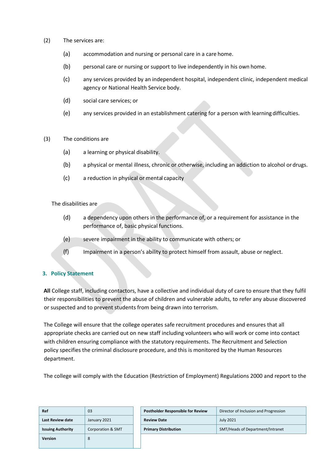- (2) The services are:
	- (a) accommodation and nursing or personal care in a care home.
	- (b) personal care or nursing or support to live independently in his own home.
	- (c) any services provided by an independent hospital, independent clinic, independent medical agency or National Health Service body.
	- (d) social care services; or
	- (e) any services provided in an establishment catering for a person with learning difficulties.

### (3) The conditions are

- (a) a learning or physical disability.
- (b) a physical or mental illness, chronic or otherwise, including an addiction to alcohol or drugs.
- (c) a reduction in physical or mental capacity

The disabilities are

- (d) a dependency upon others in the performance of, or a requirement for assistance in the performance of, basic physical functions.
- (e) severe impairment in the ability to communicate with others; or
- (f) Impairment in a person's ability to protect himself from assault, abuse or neglect.

# **3. Policy Statement**

**All** College staff, including contactors, have a collective and individual duty of care to ensure that they fulfil their responsibilities to prevent the abuse of children and vulnerable adults, to refer any abuse discovered or suspected and to prevent students from being drawn into terrorism.

The College will ensure that the college operates safe recruitment procedures and ensures that all appropriate checks are carried out on new staff including volunteers who will work or come into contact with children ensuring compliance with the statutory requirements. The Recruitment and Selection policy specifies the criminal disclosure procedure, and this is monitored by the Human Resources department.

The college will comply with the Education (Restriction of Employment) Regulations 2000 and report to the

| Ref                      | 03                           |
|--------------------------|------------------------------|
| Last Review date         | January 2021                 |
| <b>Issuing Authority</b> | <b>Corporation &amp; SMT</b> |
| Version                  | 8                            |

| Ref               | 03                | <b>Postholder Responsible for Review</b> | Director of Inclusion and Progression |
|-------------------|-------------------|------------------------------------------|---------------------------------------|
| Last Review date  | January 2021      | <b>Review Date</b>                       | <b>July 2021</b>                      |
| Issuing Authority | Corporation & SMT | <b>Primary Distribution</b>              | SMT/Heads of Department/Intranet      |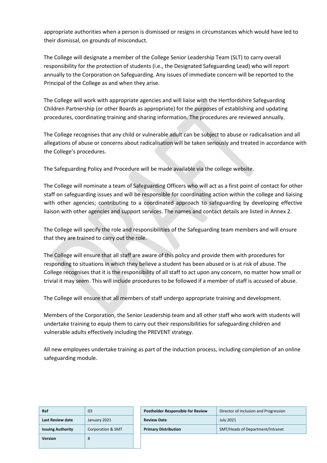appropriate authorities when a person is dismissed or resigns in circumstances which would have led to their dismissal, on grounds of misconduct.

The College will designate a member of the College Senior Leadership Team (SLT) to carry overall responsibility for the protection of students (i.e., the Designated Safeguarding Lead) who will report annually to the Corporation on Safeguarding. Any issues of immediate concern will be reported to the Principal of the College as and when they arise.

The College will work with appropriate agencies and will liaise with the Hertfordshire Safeguarding Children Partnership (or other Boards as appropriate) for the purposes of establishing and updating procedures, coordinating training and sharing information. The procedures are reviewed annually.

The College recognises that any child or vulnerable adult can be subject to abuse or radicalisation and all allegations of abuse or concerns about radicalisation will be taken seriously and treated in accordance with the College's procedures.

The Safeguarding Policy and Procedure will be made available via the college website.

The College will nominate a team of Safeguarding Officers who will act as a first point of contact for other staff on safeguarding issues and will be responsible for coordinating action within the college and liaising with other agencies; contributing to a coordinated approach to safeguarding by developing effective liaison with other agencies and support services. The names and contact details are listed in Annex 2.

The College will specify the role and responsibilities of the Safeguarding team members and will ensure that they are trained to carry out the role.

The College will ensure that all staff are aware of this policy and provide them with procedures for responding to situations in which they believe a student has been abused or is at risk of abuse. The College recognises that it is the responsibility of all staff to act upon any concern, no matter how small or trivial it may seem. This will include procedures to be followed if a member of staff is accused of abuse.

The College will ensure that all members of staff undergo appropriate training and development.

Members of the Corporation, the Senior Leadership team and all other staff who work with students will undertake training to equip them to carry out their responsibilities for safeguarding children and vulnerable adults effectively including the PREVENT strategy.

All new employees undertake training as part of the induction process, including completion of an online safeguarding module.

| Ref                      | 03                           | <b>Postholder Responsible for Review</b> | Director of Inclusion and Progression |
|--------------------------|------------------------------|------------------------------------------|---------------------------------------|
| Last Review date         | January 2021                 | <b>Review Date</b>                       | <b>July 2021</b>                      |
| <b>Issuing Authority</b> | <b>Corporation &amp; SMT</b> | <b>Primary Distribution</b>              | SMT/Heads of Department/Intranet      |
| <b>Version</b>           | 8                            |                                          |                                       |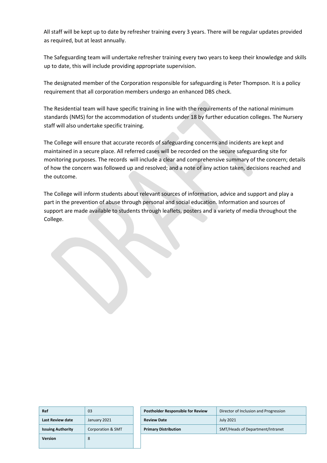All staff will be kept up to date by refresher training every 3 years. There will be regular updates provided as required, but at least annually.

The Safeguarding team will undertake refresher training every two years to keep their knowledge and skills up to date, this will include providing appropriate supervision.

The designated member of the Corporation responsible for safeguarding is Peter Thompson. It is a policy requirement that all corporation members undergo an enhanced DBS check.

The Residential team will have specific training in line with the requirements of the national minimum standards (NMS) for the accommodation of students under 18 by further education colleges. The Nursery staff will also undertake specific training.

The College will ensure that accurate records of safeguarding concerns and incidents are kept and maintained in a secure place. All referred cases will be recorded on the secure safeguarding site for monitoring purposes. The records will include a clear and comprehensive summary of the concern; details of how the concern was followed up and resolved; and a note of any action taken, decisions reached and the outcome.

The College will inform students about relevant sources of information, advice and support and play a part in the prevention of abuse through personal and social education. Information and sources of support are made available to students through leaflets, posters and a variety of media throughout the College.

| Ref                      | 03                | <b>Postholder Responsible for Review</b> | Director of Inclusion and Progression |
|--------------------------|-------------------|------------------------------------------|---------------------------------------|
| Last Review date         | January 2021      | <b>Review Date</b>                       | <b>July 2021</b>                      |
| <b>Issuing Authority</b> | Corporation & SMT | <b>Primary Distribution</b>              | SMT/Heads of Department/Intranet      |
| Version                  | 8                 |                                          |                                       |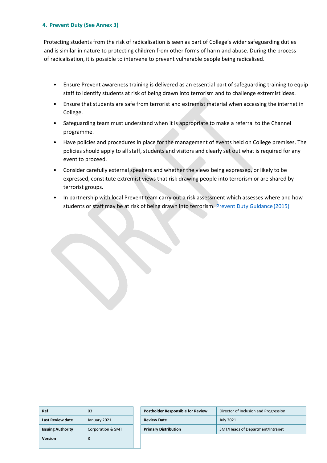#### **4. Prevent Duty (See Annex 3)**

Protecting students from the risk of radicalisation is seen as part of College's wider safeguarding duties and is similar in nature to protecting children from other forms of harm and abuse. During the process of radicalisation, it is possible to intervene to prevent vulnerable people being radicalised.

- Ensure Prevent awareness training is delivered as an essential part of safeguarding training to equip staff to identify students at risk of being drawn into terrorism and to challenge extremist ideas.
- Ensure that students are safe from terrorist and extremist material when accessing the internet in College.
- Safeguarding team must understand when it is appropriate to make a referral to the Channel programme.
- Have policies and procedures in place for the management of events held on College premises. The policies should apply to all staff, students and visitors and clearly set out what is required for any event to proceed.
- Consider carefully external speakers and whether the views being expressed, or likely to be expressed, constitute extremist views that risk drawing people into terrorism or are shared by terrorist groups.
- In partnership with local Prevent team carry out a risk assessment which assesses where and how students or staff may be at risk of being drawn into terrorism. [Prevent Duty Guidance \(2015\)](https://www.gov.uk/government/publications/prevent-duty-guidance)

| Ref                      | 03                           | <b>Postholder Responsible for Review</b> | Director of Inclusion and Progression |
|--------------------------|------------------------------|------------------------------------------|---------------------------------------|
| Last Review date         | January 2021                 | <b>Review Date</b>                       | <b>July 2021</b>                      |
| <b>Issuing Authority</b> | <b>Corporation &amp; SMT</b> | <b>Primary Distribution</b>              | SMT/Heads of Department/Intranet      |
| <b>Version</b>           | 8                            |                                          |                                       |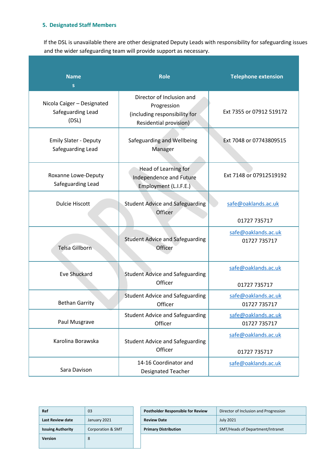# **5. Designated Staff Members**

If the DSL is unavailable there are other designated Deputy Leads with responsibility for safeguarding issues and the wider safeguarding team will provide support as necessary.

| <b>Name</b><br>S                                         | <b>Role</b>                                                                                         | <b>Telephone extension</b>          |
|----------------------------------------------------------|-----------------------------------------------------------------------------------------------------|-------------------------------------|
| Nicola Caiger - Designated<br>Safeguarding Lead<br>(DSL) | Director of Inclusion and<br>Progression<br>(including responsibility for<br>Residential provision) | Ext 7355 or 07912 519172            |
| <b>Emily Slater - Deputy</b><br>Safeguarding Lead        | Safeguarding and Wellbeing<br>Manager                                                               | Ext 7048 or 07743809515             |
| Roxanne Lowe-Deputy<br>Safeguarding Lead                 | Head of Learning for<br>Independence and Future<br>Employment (L.I.F.E.)                            | Ext 7148 or 07912519192             |
| <b>Dulcie Hiscott</b>                                    | <b>Student Advice and Safeguarding</b><br>Officer                                                   | safe@oaklands.ac.uk<br>01727 735717 |
| <b>Telsa Gillborn</b>                                    | <b>Student Advice and Safeguarding</b><br>Officer                                                   | safe@oaklands.ac.uk<br>01727 735717 |
| <b>Eve Shuckard</b>                                      | <b>Student Advice and Safeguarding</b><br>Officer                                                   | safe@oaklands.ac.uk<br>01727 735717 |
| <b>Bethan Garrity</b>                                    | <b>Student Advice and Safeguarding</b><br>Officer                                                   | safe@oaklands.ac.uk<br>01727 735717 |
| Paul Musgrave                                            | <b>Student Advice and Safeguarding</b><br>Officer                                                   | safe@oaklands.ac.uk<br>01727 735717 |
| Karolina Borawska                                        | <b>Student Advice and Safeguarding</b><br>Officer                                                   | safe@oaklands.ac.uk<br>01727 735717 |
| Sara Davison                                             | 14-16 Coordinator and<br>Designated Teacher                                                         | safe@oaklands.ac.uk                 |

| Ref                      | 03                |
|--------------------------|-------------------|
| Last Review date         | January 2021      |
| <b>Issuing Authority</b> | Corporation & SMT |
| Version                  | 8                 |
|                          |                   |

| Ref<br>03                        |                   | <b>Postholder Responsible for Review</b> | Director of Inclusion and Progression |
|----------------------------------|-------------------|------------------------------------------|---------------------------------------|
| Last Review date<br>January 2021 |                   | <b>Review Date</b>                       | July 2021                             |
| <b>Issuing Authority</b>         | Corporation & SMT | <b>Primary Distribution</b>              | SMT/Heads of Department/Intranet      |
|                                  |                   |                                          |                                       |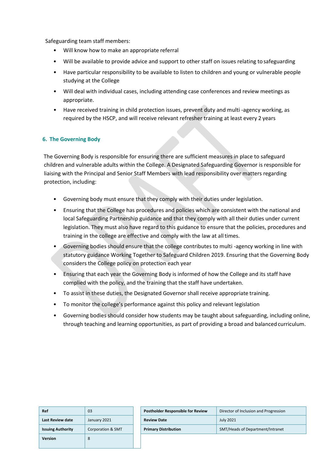Safeguarding team staff members:

- Will know how to make an appropriate referral
- Will be available to provide advice and support to other staff on issues relating to safeguarding
- Have particular responsibility to be available to listen to children and young or vulnerable people studying at the College
- Will deal with individual cases, including attending case conferences and review meetings as appropriate.
- Have received training in child protection issues, prevent duty and multi -agency working, as required by the HSCP, and will receive relevant refresher training at least every 2 years

### **6. The Governing Body**

The Governing Body is responsible for ensuring there are sufficient measures in place to safeguard children and vulnerable adults within the College. A Designated Safeguarding Governor is responsible for liaising with the Principal and Senior Staff Members with lead responsibility over matters regarding protection, including:

- Governing body must ensure that they comply with their duties under legislation.
- Ensuring that the College has procedures and policies which are consistent with the national and local Safeguarding Partnership guidance and that they comply with all their duties under current legislation. They must also have regard to this guidance to ensure that the policies, procedures and training in the college are effective and comply with the law at all times.
- Governing bodies should ensure that the college contributes to multi -agency working in line with statutory guidance Working Together to Safeguard Children 2019. Ensuring that the Governing Body considers the College policy on protection each year
- Ensuring that each year the Governing Body is informed of how the College and its staff have complied with the policy, and the training that the staff have undertaken.
- To assist in these duties, the Designated Governor shall receive appropriate training.
- To monitor the college's performance against this policy and relevant legislation
- Governing bodies should consider how students may be taught about safeguarding, including online, through teaching and learning opportunities, as part of providing a broad and balanced curriculum.

| Ref                      | 03                | <b>Postholder Responsible for Review</b> | Director of Inclusion and Progression |
|--------------------------|-------------------|------------------------------------------|---------------------------------------|
| <b>Last Review date</b>  | January 2021      | <b>Review Date</b>                       | July 2021                             |
| <b>Issuing Authority</b> | Corporation & SMT | <b>Primary Distribution</b>              | SMT/Heads of Department/Intranet      |
| <b>Version</b>           | 8                 |                                          |                                       |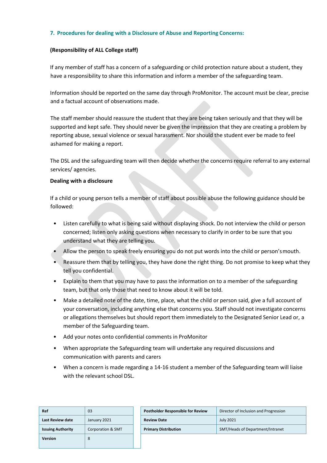### **7. Procedures for dealing with a Disclosure of Abuse and Reporting Concerns:**

### **(Responsibility of ALL College staff)**

If any member of staff has a concern of a safeguarding or child protection nature about a student, they have a responsibility to share this information and inform a member of the safeguarding team.

Information should be reported on the same day through ProMonitor. The account must be clear, precise and a factual account of observations made.

The staff member should reassure the student that they are being taken seriously and that they will be supported and kept safe. They should never be given the impression that they are creating a problem by reporting abuse, sexual violence or sexual harassment. Nor should the student ever be made to feel ashamed for making a report.

The DSL and the safeguarding team will then decide whether the concerns require referral to any external services/ agencies.

### **Dealing with a disclosure**

If a child or young person tells a member of staff about possible abuse the following guidance should be followed:

- Listen carefully to what is being said without displaying shock. Do not interview the child or person concerned; listen only asking questions when necessary to clarify in order to be sure that you understand what they are telling you.
- Allow the person to speak freely ensuring you do not put words into the child or person's mouth.
- Reassure them that by telling you, they have done the right thing. Do not promise to keep what they tell you confidential.
- Explain to them that you may have to pass the information on to a member of the safeguarding team, but that only those that need to know about it will be told.
- Make a detailed note of the date, time, place, what the child or person said, give a full account of your conversation, including anything else that concerns you. Staff should not investigate concerns or allegations themselves but should report them immediately to the Designated Senior Lead or, a member of the Safeguarding team.
- Add your notes onto confidential comments in ProMonitor
- When appropriate the Safeguarding team will undertake any required discussions and communication with parents and carers
- When a concern is made regarding a 14-16 student a member of the Safeguarding team will liaise with the relevant school DSL.

| Ref                      | 03                           | <b>Postholder Responsible for Review</b> | Director of Inclusion and Progression |
|--------------------------|------------------------------|------------------------------------------|---------------------------------------|
| Last Review date         | January 2021                 | <b>Review Date</b>                       | <b>July 2021</b>                      |
| <b>Issuing Authority</b> | <b>Corporation &amp; SMT</b> | <b>Primary Distribution</b>              | SMT/Heads of Department/Intranet      |
| <b>Version</b>           | 8                            |                                          |                                       |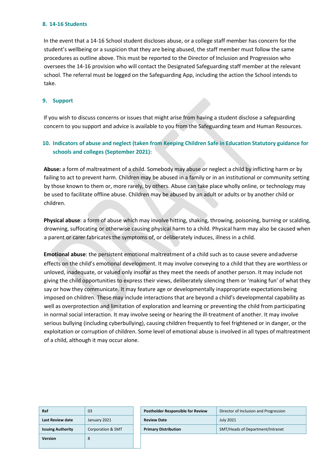#### **8. 14-16 Students**

In the event that a 14-16 School student discloses abuse, or a college staff member has concern for the student's wellbeing or a suspicion that they are being abused, the staff member must follow the same procedures as outline above. This must be reported to the Director of Inclusion and Progression who oversees the 14-16 provision who will contact the Designated Safeguarding staff member at the relevant school. The referral must be logged on the Safeguarding App, including the action the School intends to take.

#### **9. Support**

If you wish to discuss concerns or issues that might arise from having a student disclose a safeguarding concern to you support and advice is available to you from the Safeguarding team and Human Resources.

# **10. Indicators of abuse and neglect (taken from Keeping Children Safe in Education Statutory guidance for schools and colleges (September 2021):**

**Abuse:** a form of maltreatment of a child. Somebody may abuse or neglect a child by inflicting harm or by failing to act to prevent harm. Children may be abused in a family or in an institutional or community setting by those known to them or, more rarely, by others. Abuse can take place wholly online, or technology may be used to facilitate offline abuse. Children may be abused by an adult or adults or by another child or children.

**Physical abuse**: a form of abuse which may involve hitting, shaking, throwing, poisoning, burning or scalding, drowning, suffocating or otherwise causing physical harm to a child. Physical harm may also be caused when a parent or carer fabricates the symptoms of, or deliberately induces, illness in a child.

**Emotional abuse**: the persistent emotional maltreatment of a child such as to cause severe and adverse effects on the child's emotional development. It may involve conveying to a child that they are worthless or unloved, inadequate, or valued only insofar as they meet the needs of another person. It may include not giving the child opportunities to express their views, deliberately silencing them or 'making fun' of what they say or how they communicate. It may feature age or developmentally inappropriate expectations being imposed on children. These may include interactions that are beyond a child's developmental capability as well as overprotection and limitation of exploration and learning or preventing the child from participating in normal social interaction. It may involve seeing or hearing the ill-treatment of another. It may involve serious bullying (including cyberbullying), causing children frequently to feel frightened or in danger, or the exploitation or corruption of children. Some level of emotional abuse is involved in all types of maltreatment of a child, although it may occur alone.

| Ref                      | 03                           | <b>Postholder Responsible for Review</b> | Director of Inclusion and Progression |
|--------------------------|------------------------------|------------------------------------------|---------------------------------------|
| Last Review date         | January 2021                 | <b>Review Date</b>                       | <b>July 2021</b>                      |
| <b>Issuing Authority</b> | <b>Corporation &amp; SMT</b> | <b>Primary Distribution</b>              | SMT/Heads of Department/Intranet      |
| <b>Version</b>           | 8                            |                                          |                                       |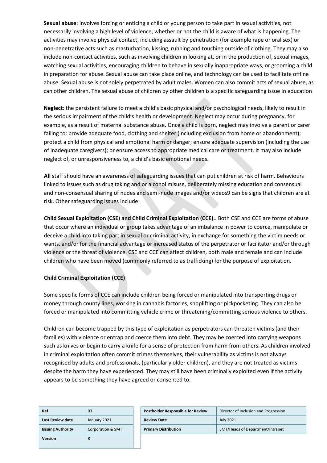**Sexual abuse**: involves forcing or enticing a child or young person to take part in sexual activities, not necessarily involving a high level of violence, whether or not the child is aware of what is happening. The activities may involve physical contact, including assault by penetration (for example rape or oral sex) or non-penetrative acts such as masturbation, kissing, rubbing and touching outside of clothing. They may also include non-contact activities, such as involving children in looking at, or in the production of, sexual images, watching sexual activities, encouraging children to behave in sexually inappropriate ways, or grooming a child in preparation for abuse. Sexual abuse can take place online, and technology can be used to facilitate offline abuse. Sexual abuse is not solely perpetrated by adult males. Women can also commit acts of sexual abuse, as can other children. The sexual abuse of children by other children is a specific safeguarding issue in education

**Neglect**: the persistent failure to meet a child's basic physical and/or psychological needs, likely to result in the serious impairment of the child's health or development. Neglect may occur during pregnancy, for example, as a result of maternal substance abuse. Once a child is born, neglect may involve a parent or carer failing to: provide adequate food, clothing and shelter (including exclusion from home or abandonment); protect a child from physical and emotional harm or danger; ensure adequate supervision (including the use of inadequate caregivers); or ensure access to appropriate medical care or treatment. It may also include neglect of, or unresponsiveness to, a child's basic emotional needs.

**All** staff should have an awareness of safeguarding issues that can put children at risk of harm. Behaviours linked to issues such as drug taking and or alcohol misuse, deliberately missing education and consensual and non-consensual sharing of nudes and semi-nude images and/or videos9 can be signs that children are at risk. Other safeguarding issues include:

**Child Sexual Exploitation (CSE) and Child Criminal Exploitation (CCE).**. Both CSE and CCE are forms of abuse that occur where an individual or group takes advantage of an imbalance in power to coerce, manipulate or deceive a child into taking part in sexual or criminal activity, in exchange for something the victim needs or wants, and/or for the financial advantage or increased status of the perpetrator or facilitator and/or through violence or the threat of violence. CSE and CCE can affect children, both male and female and can include children who have been moved (commonly referred to as trafficking) for the purpose of exploitation.

# **Child Criminal Exploitation (CCE)**

Some specific forms of CCE can include children being forced or manipulated into transporting drugs or money through county lines, working in cannabis factories, shoplifting or pickpocketing. They can also be forced or manipulated into committing vehicle crime or threatening/committing serious violence to others.

Children can become trapped by this type of exploitation as perpetrators can threaten victims (and their families) with violence or entrap and coerce them into debt. They may be coerced into carrying weapons such as knives or begin to carry a knife for a sense of protection from harm from others. As children involved in criminal exploitation often commit crimes themselves, their vulnerability as victims is not always recognised by adults and professionals, (particularly older children), and they are not treated as victims despite the harm they have experienced. They may still have been criminally exploited even if the activity appears to be something they have agreed or consented to.

| Ref                      | 03                           |
|--------------------------|------------------------------|
| Last Review date         | January 2021                 |
| <b>Issuing Authority</b> | <b>Corporation &amp; SMT</b> |
| Version                  | 8                            |

| Ref               | 03                | <b>Postholder Responsible for Review</b> | Director of Inclusion and Progression |
|-------------------|-------------------|------------------------------------------|---------------------------------------|
| Last Review date  | January 2021      | <b>Review Date</b>                       | <b>July 2021</b>                      |
| Issuing Authority | Corporation & SMT | <b>Primary Distribution</b>              | SMT/Heads of Department/Intranet      |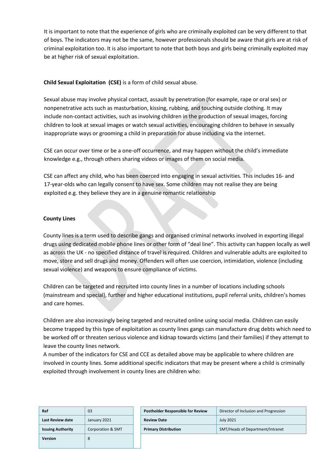It is important to note that the experience of girls who are criminally exploited can be very different to that of boys. The indicators may not be the same, however professionals should be aware that girls are at risk of criminal exploitation too. It is also important to note that both boys and girls being criminally exploited may be at higher risk of sexual exploitation.

### **Child Sexual Exploitation (CSE)** is a form of child sexual abuse.

Sexual abuse may involve physical contact, assault by penetration (for example, rape or oral sex) or nonpenetrative acts such as masturbation, kissing, rubbing, and touching outside clothing. It may include non-contact activities, such as involving children in the production of sexual images, forcing children to look at sexual images or watch sexual activities, encouraging children to behave in sexually inappropriate ways or grooming a child in preparation for abuse including via the internet.

CSE can occur over time or be a one-off occurrence, and may happen without the child's immediate knowledge e.g., through others sharing videos or images of them on social media.

CSE can affect any child, who has been coerced into engaging in sexual activities. This includes 16- and 17-year-olds who can legally consent to have sex. Some children may not realise they are being exploited e.g. they believe they are in a genuine romantic relationship

# **County Lines**

County lines is a term used to describe gangs and organised criminal networks involved in exporting illegal drugs using dedicated mobile phone lines or other form of "deal line". This activity can happen locally as well as across the UK - no specified distance of travel is required. Children and vulnerable adults are exploited to move, store and sell drugs and money. Offenders will often use coercion, intimidation, violence (including sexual violence) and weapons to ensure compliance of victims.

Children can be targeted and recruited into county lines in a number of locations including schools (mainstream and special), further and higher educational institutions, pupil referral units, children's homes and care homes.

Children are also increasingly being targeted and recruited online using social media. Children can easily become trapped by this type of exploitation as county lines gangs can manufacture drug debts which need to be worked off or threaten serious violence and kidnap towards victims (and their families) if they attempt to leave the county lines network.

A number of the indicators for CSE and CCE as detailed above may be applicable to where children are involved in county lines. Some additional specific indicators that may be present where a child is criminally exploited through involvement in county lines are children who:

| Ref                      | 03                           | <b>Postholder Responsible for Review</b> | Director of Inclusion and Progression |
|--------------------------|------------------------------|------------------------------------------|---------------------------------------|
| Last Review date         | January 2021                 | <b>Review Date</b>                       | July 2021                             |
| <b>Issuing Authority</b> | <b>Corporation &amp; SMT</b> | <b>Primary Distribution</b>              | SMT/Heads of Department/Intranet      |
| <b>Version</b>           | 8                            |                                          |                                       |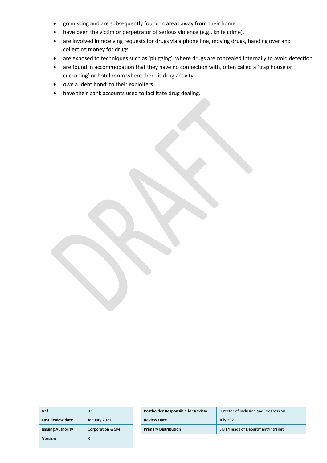- go missing and are subsequently found in areas away from their home.
- have been the victim or perpetrator of serious violence (e.g., knife crime).
- are involved in receiving requests for drugs via a phone line, moving drugs, handing over and collecting money for drugs.
- are exposed to techniques such as 'plugging', where drugs are concealed internally to avoid detection.
- are found in accommodation that they have no connection with, often called a 'trap house or cuckooing' or hotel room where there is drug activity.
- owe a 'debt bond' to their exploiters.
- have their bank accounts used to facilitate drug dealing.

| Ref                      | 03                           |
|--------------------------|------------------------------|
| Last Review date         | January 2021                 |
| <b>Issuing Authority</b> | <b>Corporation &amp; SMT</b> |
| Version                  | 8                            |
|                          |                              |

| Ref               | 03                | <b>Postholder Responsible for Review</b> | Director of Inclusion and Progression |
|-------------------|-------------------|------------------------------------------|---------------------------------------|
| Last Review date  | January 2021      | <b>Review Date</b>                       | July 2021                             |
| Issuing Authority | Corporation & SMT | <b>Primary Distribution</b>              | SMT/Heads of Department/Intranet      |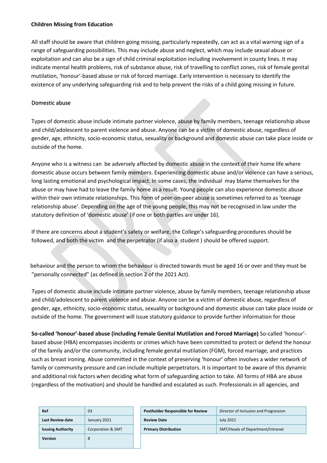#### **Children Missing from Education**

All staff should be aware that children going missing, particularly repeatedly, can act as a vital warning sign of a range of safeguarding possibilities. This may include abuse and neglect, which may include sexual abuse or exploitation and can also be a sign of child criminal exploitation including involvement in county lines. It may indicate mental health problems, risk of substance abuse, risk of travelling to conflict zones, risk of female genital mutilation, 'honour'-based abuse or risk of forced marriage. Early intervention is necessary to identify the existence of any underlying safeguarding risk and to help prevent the risks of a child going missing in future.

# Domestic abuse

Types of domestic abuse include intimate partner violence, abuse by family members, teenage relationship abuse and child/adolescent to parent violence and abuse. Anyone can be a victim of domestic abuse, regardless of gender, age, ethnicity, socio-economic status, sexuality or background and domestic abuse can take place inside or outside of the home.

Anyone who is a witness can be adversely affected by domestic abuse in the context of their home life where domestic abuse occurs between family members. Experiencing domestic abuse and/or violence can have a serious, long lasting emotional and psychological impact. In some cases, the individual may blame themselves for the abuse or may have had to leave the family home as a result. Young people can also experience domestic abuse within their own intimate relationships. This form of peer-on-peer abuse is sometimes referred to as 'teenage relationship abuse'. Depending on the age of the young people, this may not be recognised in law under the statutory definition of 'domestic abuse' (if one or both parties are under 16).

If there are concerns about a student's safety or welfare, the College's safeguarding procedures should be followed, and both the victim and the perpetrator (if also a student ) should be offered support.

 behaviour and the person to whom the behaviour is directed towards must be aged 16 or over and they must be "personally connected" (as defined in section 2 of the 2021 Act).

 Types of domestic abuse include intimate partner violence, abuse by family members, teenage relationship abuse and child/adolescent to parent violence and abuse. Anyone can be a victim of domestic abuse, regardless of gender, age, ethnicity, socio-economic status, sexuality or background and domestic abuse can take place inside or outside of the home. The government will issue statutory guidance to provide further information for those

**So-called 'honour'-based abuse (including Female Genital Mutilation and Forced Marriage)** So-called 'honour' based abuse (HBA) encompasses incidents or crimes which have been committed to protect or defend the honour of the family and/or the community, including female genital mutilation (FGM), forced marriage, and practices such as breast ironing. Abuse committed in the context of preserving 'honour' often involves a wider network of family or community pressure and can include multiple perpetrators. It is important to be aware of this dynamic and additional risk factors when deciding what form of safeguarding action to take. All forms of HBA are abuse (regardless of the motivation) and should be handled and escalated as such. Professionals in all agencies, and

| Ref                      | 03                           |
|--------------------------|------------------------------|
| Last Review date         | January 2021                 |
| <b>Issuing Authority</b> | <b>Corporation &amp; SMT</b> |
| Version                  | 8                            |
|                          |                              |

| Ref               | 03                | <b>Postholder Responsible for Review</b> | Director of Inclusion and Progression |
|-------------------|-------------------|------------------------------------------|---------------------------------------|
| Last Review date  | January 2021      | <b>Review Date</b>                       | July 2021                             |
| Issuing Authority | Corporation & SMT | <b>Primary Distribution</b>              | SMT/Heads of Department/Intranet      |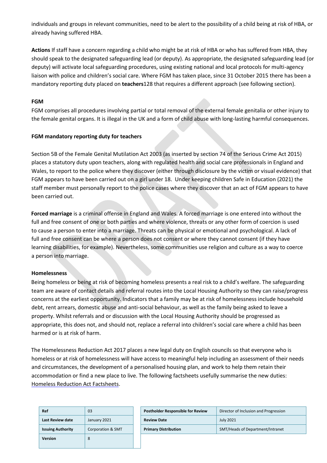individuals and groups in relevant communities, need to be alert to the possibility of a child being at risk of HBA, or already having suffered HBA.

**Actions** If staff have a concern regarding a child who might be at risk of HBA or who has suffered from HBA, they should speak to the designated safeguarding lead (or deputy). As appropriate, the designated safeguarding lead (or deputy) will activate local safeguarding procedures, using existing national and local protocols for multi-agency liaison with police and children's social care. Where FGM has taken place, since 31 October 2015 there has been a mandatory reporting duty placed on **teachers**128 that requires a different approach (see following section).

# **FGM**

FGM comprises all procedures involving partial or total removal of the external female genitalia or other injury to the female genital organs. It is illegal in the UK and a form of child abuse with long-lasting harmful consequences.

# **FGM mandatory reporting duty for teachers**

Section 5B of the Female Genital Mutilation Act 2003 (as inserted by section 74 of the Serious Crime Act 2015) places a statutory duty upon teachers, along with regulated health and social care professionals in England and Wales, to report to the police where they discover (either through disclosure by the victim or visual evidence) that FGM appears to have been carried out on a girl under 18. Under keeping children Safe in Education (2021) the staff member must personally report to the police cases where they discover that an act of FGM appears to have been carried out.

**Forced marriage** is a criminal offense in England and Wales. A forced marriage is one entered into without the full and free consent of one or both parties and where violence, threats or any other form of coercion is used to cause a person to enter into a marriage. Threats can be physical or emotional and psychological. A lack of full and free consent can be where a person does not consent or where they cannot consent (if they have learning disabilities, for example). Nevertheless, some communities use religion and culture as a way to coerce a person into marriage.

# **Homelessness**

Being homeless or being at risk of becoming homeless presents a real risk to a child's welfare. The safeguarding team are aware of contact details and referral routes into the Local Housing Authority so they can raise/progress concerns at the earliest opportunity. Indicators that a family may be at risk of homelessness include household debt, rent arrears, domestic abuse and anti-social behaviour, as well as the family being asked to leave a property. Whilst referrals and or discussion with the Local Housing Authority should be progressed as appropriate, this does not, and should not, replace a referral into children's social care where a child has been harmed or is at risk of harm.

The Homelessness Reduction Act 2017 places a new legal duty on English councils so that everyone who is homeless or at risk of homelessness will have access to meaningful help including an assessment of their needs and circumstances, the development of a personalised housing plan, and work to help them retain their accommodation or find a new place to live. The following factsheets usefully summarise the new duties: [Homeless Reduction Act Factsheets.](https://www.gov.uk/government/publications/homelessness-reduction-bill-policy-factsheets) 

| Ref                      | 03                |
|--------------------------|-------------------|
| Last Review date         | January 2021      |
| <b>Issuing Authority</b> | Corporation & SMT |
| Version                  | 8                 |
|                          |                   |

| Ref               | 03                | <b>Postholder Responsible for Review</b> | Director of Inclusion and Progression |
|-------------------|-------------------|------------------------------------------|---------------------------------------|
| Last Review date  | January 2021      | <b>Review Date</b>                       | July 2021                             |
| Issuing Authority | Corporation & SMT | <b>Primary Distribution</b>              | SMT/Heads of Department/Intranet      |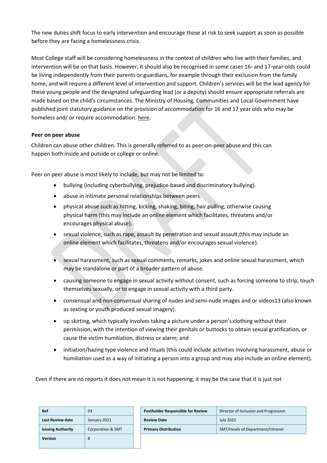[Th](https://www.gov.uk/government/publications/homelessness-reduction-bill-policy-factsheets)e new duties shift focus to early intervention and encourage those at risk to seek support as soon as possible before they are facing a homelessness crisis.

Most College staff will be considering homelessness in the context of children who live with their families, and intervention will be on that basis. However, it should also be recognised in some cases 16- and 17-year-olds could be living independently from their parents or guardians, for example through their exclusion from the family home, and will require a different level of intervention and support. Children's services will be the lead agency for these young people and the designated safeguarding lead (or a deputy) should ensure appropriate referrals are made based on the child's circumstances. The Ministry of Housing, Communities and Local Government have [published joint statutory guidance on t](https://www.gov.uk/government/publications/provision-of-accommodation-for-16-and-17-year-olds-who-may-be-homeless-and-or-require-accommodation)he provision of accommodation for 16 and 17 year olds who may be homeless and/ or require accommodatio[n: here.](https://www.gov.uk/government/publications/homelessness-reduction-bill-policy-factsheets) 

### **Peer on peer abuse**

Children can abuse other children. This is generally referred to as peer-on-peer abuse and this can happen both inside and outside or college or online.

Peer on peer abuse is most likely to include, but may not be limited to:

- bullying (including cyberbullying, prejudice-based and discriminatory bullying).
- abuse in intimate personal relationships between peers.
- physical abuse such as hitting, kicking, shaking, biting, hair pulling, otherwise causing physical harm (this may include an online element which facilitates, threatens and/or encourages physical abuse).
- sexual violence, such as rape, assault by penetration and sexual assault;(this may include an online element which facilitates, threatens and/or encourages sexual violence).
- sexual harassment, such as sexual comments, remarks, jokes and online sexual harassment, which may be standalone or part of a broader pattern of abuse.
- causing someone to engage in sexual activity without consent, such as forcing someone to strip, touch themselves sexually, or to engage in sexual activity with a third party.
- consensual and non-consensual sharing of nudes and semi-nude images and or videos13 (also known as sexting or youth produced sexual imagery).
- up skirting, which typically involves taking a picture under a person's clothing without their permission, with the intention of viewing their genitals or buttocks to obtain sexual gratification, or cause the victim humiliation, distress or alarm; and
- initiation/hazing type violence and rituals (this could include activities involving harassment, abuse or humiliation used as a way of initiating a person into a group and may also include an online element).

Even if there are no reports it does not mean it is not happening, it may be the case that it is just not

| Ref                      | 03                           |
|--------------------------|------------------------------|
| Last Review date         | January 2021                 |
| <b>Issuing Authority</b> | <b>Corporation &amp; SMT</b> |
| Version                  | 8                            |
|                          |                              |

| <b>Ref</b>        | 03                | <b>Postholder Responsible for Review</b> | Director of Inclusion and Progression |
|-------------------|-------------------|------------------------------------------|---------------------------------------|
| Last Review date  | January 2021      | <b>Review Date</b>                       | July 2021                             |
| Issuing Authority | Corporation & SMT | <b>Primary Distribution</b>              | SMT/Heads of Department/Intranet      |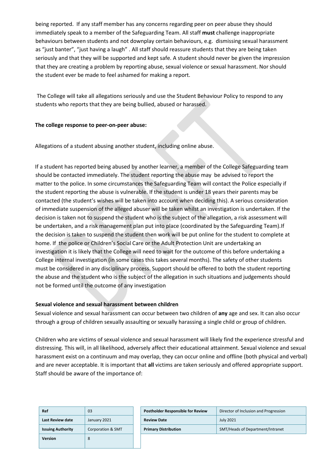being reported. If any staff member has any concerns regarding peer on peer abuse they should immediately speak to a member of the Safeguarding Team. All staff **must** challenge inappropriate behaviours between students and not downplay certain behaviours, e.g. dismissing sexual harassment as "just banter", "just having a laugh" . All staff should reassure students that they are being taken seriously and that they will be supported and kept safe. A student should never be given the impression that they are creating a problem by reporting abuse, sexual violence or sexual harassment. Nor should the student ever be made to feel ashamed for making a report.

 The College will take all allegations seriously and use the Student Behaviour Policy to respond to any students who reports that they are being bullied, abused or harassed.

### **The college response to peer-on-peer abuse:**

Allegations of a student abusing another student, including online abuse.

If a student has reported being abused by another learner, a member of the College Safeguarding team should be contacted immediately. The student reporting the abuse may be advised to report the matter to the police. In some circumstances the Safeguarding Team will contact the Police especially if the student reporting the abuse is vulnerable. If the student is under 18 years their parents may be contacted (the student's wishes will be taken into account when deciding this). A serious consideration of immediate suspension of the alleged abuser will be taken whilst an investigation is undertaken. If the decision is taken not to suspend the student who is the subject of the allegation, a risk assessment will be undertaken, and a risk management plan put into place (coordinated by the Safeguarding Team).If the decision is taken to suspend the student then work will be put online for the student to complete at home. If the police or Children's Social Care or the Adult Protection Unit are undertaking an investigation it is likely that the College will need to wait for the outcome of this before undertaking a College internal investigation (in some cases this takes several months). The safety of other students must be considered in any disciplinary process. Support should be offered to both the student reporting the abuse and the student who is the subject of the allegation in such situations and judgements should not be formed until the outcome of any investigation

# **Sexual violence and sexual harassment between children**

Sexual violence and sexual harassment can occur between two children of **any** age and sex. It can also occur through a group of children sexually assaulting or sexually harassing a single child or group of children.

Children who are victims of sexual violence and sexual harassment will likely find the experience stressful and distressing. This will, in all likelihood, adversely affect their educational attainment. Sexual violence and sexual harassment exist on a continuum and may overlap, they can occur online and offline (both physical and verbal) and are never acceptable. It is important that **all** victims are taken seriously and offered appropriate support. Staff should be aware of the importance of:

| Ref                      | 03                |
|--------------------------|-------------------|
| Last Review date         | January 2021      |
| <b>Issuing Authority</b> | Corporation & SMT |
| Version                  | 8                 |

| Ref               | 03                | <b>Postholder Responsible for Review</b> | Director of Inclusion and Progression |
|-------------------|-------------------|------------------------------------------|---------------------------------------|
| Last Review date  | January 2021      | <b>Review Date</b>                       | July 2021                             |
| Issuing Authority | Corporation & SMT | <b>Primary Distribution</b>              | SMT/Heads of Department/Intranet      |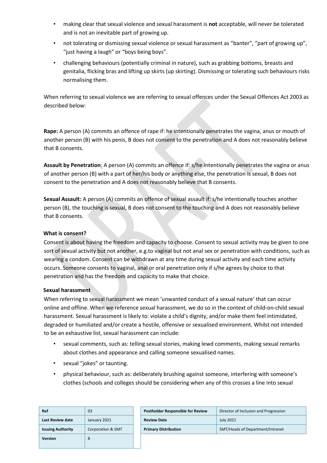- making clear that sexual violence and sexual harassment is **not** acceptable, will never be tolerated and is not an inevitable part of growing up.
- not tolerating or dismissing sexual violence or sexual harassment as "banter", "part of growing up", "just having a laugh" or "boys being boys".
- challenging behaviours (potentially criminal in nature), such as grabbing bottoms, breasts and genitalia, flicking bras and lifting up skirts (up skirting). Dismissing or tolerating such behaviours risks normalising them.

When referring to sexual violence we are referring to sexual offences under the Sexual Offences Act 2003 as described below:

**Rape:** A person (A) commits an offence of rape if: he intentionally penetrates the vagina, anus or mouth of another person (B) with his penis, B does not consent to the penetration and A does not reasonably believe that B consents.

**Assault by Penetration**: A person (A) commits an offence if: s/he intentionally penetrates the vagina or anus of another person (B) with a part of her/his body or anything else, the penetration is sexual, B does not consent to the penetration and A does not reasonably believe that B consents.

**Sexual Assault:** A person (A) commits an offence of sexual assault if: s/he intentionally touches another person (B), the touching is sexual, B does not consent to the touching and A does not reasonably believe that B consents.

# **What is consent?**

Consent is about having the freedom and capacity to choose. Consent to sexual activity may be given to one sort of sexual activity but not another, e.g.to vaginal but not anal sex or penetration with conditions, such as wearing a condom. Consent can be withdrawn at any time during sexual activity and each time activity occurs. Someone consents to vaginal, anal or oral penetration only if s/he agrees by choice to that penetration and has the freedom and capacity to make that choice.

#### **Sexual harassment**

When referring to sexual harassment we mean 'unwanted conduct of a sexual nature' that can occur online and offline. When we reference sexual harassment, we do so in the context of child-on-child sexual harassment. Sexual harassment is likely to: violate a child's dignity, and/or make them feel intimidated, degraded or humiliated and/or create a hostile, offensive or sexualised environment. Whilst not intended to be an exhaustive list, sexual harassment can include:

- sexual comments, such as: telling sexual stories, making lewd comments, making sexual remarks about clothes and appearance and calling someone sexualised names.
- sexual "jokes" or taunting.
- physical behaviour, such as: deliberately brushing against someone, interfering with someone's clothes (schools and colleges should be considering when any of this crosses a line into sexual

| Ref                      | 03                | <b>Postholder Responsible for Review</b> | Director of Inclusion and Progression |
|--------------------------|-------------------|------------------------------------------|---------------------------------------|
| Last Review date         | January 2021      | <b>Review Date</b>                       | <b>July 2021</b>                      |
| <b>Issuing Authority</b> | Corporation & SMT | <b>Primary Distribution</b>              | SMT/Heads of Department/Intranet      |
| <b>Version</b>           | 8                 |                                          |                                       |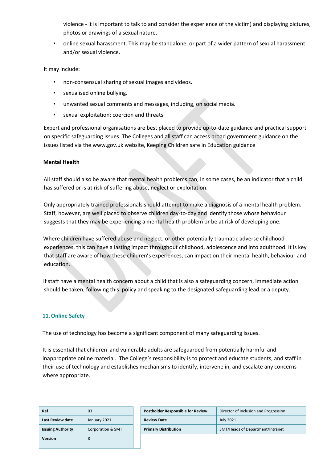violence - it is important to talk to and consider the experience of the victim) and displaying pictures, photos or drawings of a sexual nature.

• online sexual harassment. This may be standalone, or part of a wider pattern of sexual harassment and/or sexual violence.

### It may include:

- non-consensual sharing of sexual images and videos.
- sexualised online bullying.
- unwanted sexual comments and messages, including, on social media.
- sexual exploitation; coercion and threats

Expert and professional organisations are best placed to provide up-to-date guidance and practical support on specific safeguarding issues. The Colleges and all staff can access broad government guidance on the issues listed via th[e www.gov.uk webs](http://www.gov.uk/)ite, Keeping Children safe in Education guidance

# **Mental Health**

All staff should also be aware that mental health problems can, in some cases, be an indicator that a child has suffered or is at risk of suffering abuse, neglect or exploitation.

Only appropriately trained professionals should attempt to make a diagnosis of a mental health problem. Staff, however, are well placed to observe children day-to-day and identify those whose behaviour suggests that they may be experiencing a mental health problem or be at risk of developing one.

Where children have suffered abuse and neglect, or other potentially traumatic adverse childhood experiences, this can have a lasting impact throughout childhood, adolescence and into adulthood. It is key that staff are aware of how these children's experiences, can impact on their mental health, behaviour and education.

If staff have a mental health concern about a child that is also a safeguarding concern, immediate action should be taken, following this policy and speaking to the designated safeguarding lead or a deputy.

# **11.Online Safety**

The use of technology has become a significant component of many safeguarding issues.

It is essential that children and vulnerable adults are safeguarded from potentially harmful and inappropriate online material. The College's responsibility is to protect and educate students, and staff in their use of technology and establishes mechanisms to identify, intervene in, and escalate any concerns where appropriate.

| Ref                      | 03                |
|--------------------------|-------------------|
| Last Review date         | January 2021      |
| <b>Issuing Authority</b> | Corporation & SMT |
| Version                  | 8                 |
|                          |                   |

| Ref               | 03                | <b>Postholder Responsible for Review</b> | Director of Inclusion and Progression |
|-------------------|-------------------|------------------------------------------|---------------------------------------|
| Last Review date  | January 2021      | <b>Review Date</b>                       | July 2021                             |
| Issuing Authority | Corporation & SMT | <b>Primary Distribution</b>              | SMT/Heads of Department/Intranet      |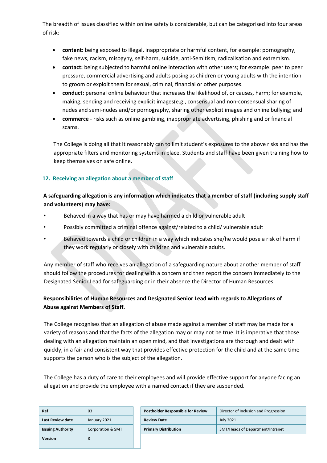The breadth of issues classified within online safety is considerable, but can be categorised into four areas of risk:

- **content:** being exposed to illegal, inappropriate or harmful content, for example: pornography, fake news, racism, misogyny, self-harm, suicide, anti-Semitism, radicalisation and extremism.
- **contact:** being subjected to harmful online interaction with other users; for example: peer to peer pressure, commercial advertising and adults posing as children or young adults with the intention to groom or exploit them for sexual, criminal, financial or other purposes.
- **conduct:** personal online behaviour that increases the likelihood of, or causes, harm; for example, making, sending and receiving explicit images(e.g., consensual and non-consensual sharing of nudes and semi-nudes and/or pornography, sharing other explicit images and online bullying; and
- **commerce**  risks such as online gambling, inappropriate advertising, phishing and or financial scams.

The College is doing all that it reasonably can to limit student's exposures to the above risks and has the appropriate filters and monitoring systems in place. Students and staff have been given training how to keep themselves on safe online.

# **12. Receiving an allegation about a member of staff**

**A safeguarding allegation is any information which indicates that a member of staff (including supply staff and volunteers) may have:** 

- Behaved in a way that has or may have harmed a child or vulnerable adult
- Possibly committed a criminal offence against/related to a child/ vulnerable adult
- Behaved towards a child or children in a way which indicates she/he would pose a risk of harm if they work regularly or closely with children and vulnerable adults.

Any member of staff who receives an allegation of a safeguarding nature about another member of staff should follow the procedures for dealing with a concern and then report the concern immediately to the Designated Senior Lead for safeguarding or in their absence the Director of Human Resources

# **Responsibilities of Human Resources and Designated Senior Lead with regards to Allegations of Abuse against Members of Staff.**

The College recognises that an allegation of abuse made against a member of staff may be made for a variety of reasons and that the facts of the allegation may or may not be true. It is imperative that those dealing with an allegation maintain an open mind, and that investigations are thorough and dealt with quickly, in a fair and consistent way that provides effective protection for the child and at the same time supports the person who is the subject of the allegation.

The College has a duty of care to their employees and will provide effective support for anyone facing an allegation and provide the employee with a named contact if they are suspended.

| Ref                      | 03                           | <b>Postholder Responsible for Review</b> | Director o       |
|--------------------------|------------------------------|------------------------------------------|------------------|
| Last Review date         | January 2021                 | <b>Review Date</b>                       | <b>July 2021</b> |
| <b>Issuing Authority</b> | <b>Corporation &amp; SMT</b> | <b>Primary Distribution</b>              | SMT/Head         |
| <b>Version</b>           | 8                            |                                          |                  |

| Ref               | 03                | <b>Postholder Responsible for Review</b> | Director of Inclusion and Progression |
|-------------------|-------------------|------------------------------------------|---------------------------------------|
| Last Review date  | January 2021      | <b>Review Date</b>                       | July 2021                             |
| Issuing Authority | Corporation & SMT | <b>Primary Distribution</b>              | SMT/Heads of Department/Intranet      |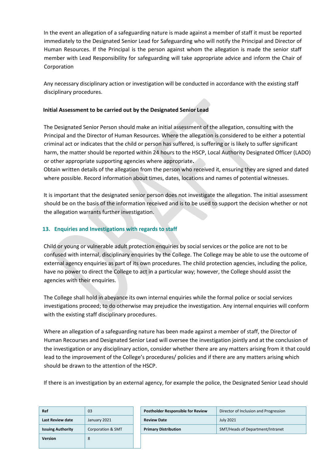In the event an allegation of a safeguarding nature is made against a member of staff it must be reported immediately to the Designated Senior Lead for Safeguarding who will notify the Principal and Director of Human Resources. If the Principal is the person against whom the allegation is made the senior staff member with Lead Responsibility for safeguarding will take appropriate advice and inform the Chair of Corporation

Any necessary disciplinary action or investigation will be conducted in accordance with the existing staff disciplinary procedures.

# **Initial Assessment to be carried out by the Designated Senior Lead**

The Designated Senior Person should make an initial assessment of the allegation, consulting with the Principal and the Director of Human Resources. Where the allegation is considered to be either a potential criminal act or indicates that the child or person has suffered, is suffering or is likely to suffer significant harm, the matter should be reported within 24 hours to the HSCP, Local Authority Designated Officer (LADO) or other appropriate supporting agencies where appropriate**.** 

Obtain written details of the allegation from the person who received it, ensuring they are signed and dated where possible. Record information about times, dates, locations and names of potential witnesses.

It is important that the designated senior person does not investigate the allegation. The initial assessment should be on the basis of the information received and is to be used to support the decision whether or not the allegation warrants further investigation.

# **13. Enquiries and Investigations with regards to staff**

Child or young or vulnerable adult protection enquiries by social services or the police are not to be confused with internal, disciplinary enquiries by the College. The College may be able to use the outcome of external agency enquiries as part of its own procedures. The child protection agencies, including the police, have no power to direct the College to act in a particular way; however, the College should assist the agencies with their enquiries.

The College shall hold in abeyance its own internal enquiries while the formal police or social services investigations proceed; to do otherwise may prejudice the investigation. Any internal enquiries will conform with the existing staff disciplinary procedures.

Where an allegation of a safeguarding nature has been made against a member of staff, the Director of Human Recourses and Designated Senior Lead will oversee the investigation jointly and at the conclusion of the investigation or any disciplinary action, consider whether there are any matters arising from it that could lead to the improvement of the College's procedures/ policies and if there are any matters arising which should be drawn to the attention of the HSCP.

If there is an investigation by an external agency, for example the police, the Designated Senior Lead should

| Ref                      | 03                |
|--------------------------|-------------------|
| Last Review date         | January 2021      |
| <b>Issuing Authority</b> | Corporation & SMT |
| Version                  | 8                 |

| Ref               | 03                | <b>Postholder Responsible for Review</b> | Director of Inclusion and Progression |
|-------------------|-------------------|------------------------------------------|---------------------------------------|
| Last Review date  | January 2021      | <b>Review Date</b>                       | <b>July 2021</b>                      |
| Issuing Authority | Corporation & SMT | <b>Primary Distribution</b>              | SMT/Heads of Department/Intranet      |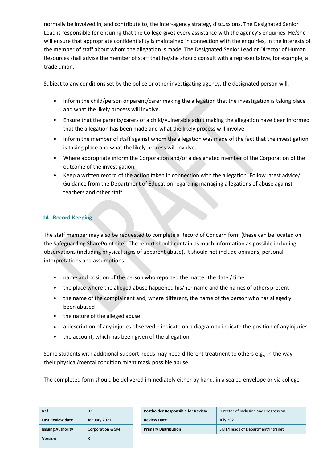normally be involved in, and contribute to, the inter-agency strategy discussions. The Designated Senior Lead is responsible for ensuring that the College gives every assistance with the agency's enquiries. He/she will ensure that appropriate confidentiality is maintained in connection with the enquiries, in the interests of the member of staff about whom the allegation is made. The Designated Senior Lead or Director of Human Resources shall advise the member of staff that he/she should consult with a representative, for example, a trade union.

Subject to any conditions set by the police or other investigating agency, the designated person will:

- Inform the child/person or parent/carer making the allegation that the investigation is taking place and what the likely process will involve.
- Ensure that the parents/carers of a child/vulnerable adult making the allegation have been informed that the allegation has been made and what the likely process will involve
- Inform the member of staff against whom the allegation was made of the fact that the investigation is taking place and what the likely process will involve.
- Where appropriate inform the Corporation and/or a designated member of the Corporation of the outcome of the investigation.
- Keep a written record of the action taken in connection with the allegation. Follow latest advice/ Guidance from the Department of Education regarding managing allegations of abuse against teachers and other staff.

### **14. Record Keeping**

The staff member may also be requested to complete a Record of Concern form (these can be located on the Safeguarding SharePoint site). The report should contain as much information as possible including observations (including physical signs of apparent abuse). It should not include opinions, personal interpretations and assumptions.

- name and position of the person who reported the matter the date / time
- the place where the alleged abuse happened his/her name and the names of others present
- the name of the complainant and, where different, the name of the person who has allegedly been abused
- the nature of the alleged abuse
- a description of any injuries observed indicate on a diagram to indicate the position of any injuries
- the account, which has been given of the allegation

Some students with additional support needs may need different treatment to others e.g., in the way their physical/mental condition might mask possible abuse.

The completed form should be delivered immediately either by hand, in a sealed envelope or via college

| Ref                      | 03                           | <b>Postholder Responsible for Review</b> | Director o       |
|--------------------------|------------------------------|------------------------------------------|------------------|
| <b>Last Review date</b>  | January 2021                 | <b>Review Date</b>                       | <b>July 2021</b> |
| <b>Issuing Authority</b> | <b>Corporation &amp; SMT</b> | <b>Primary Distribution</b>              | SMT/Head         |
| <b>Version</b>           | 8                            |                                          |                  |
|                          |                              |                                          |                  |

| Ref               | 03                | <b>Postholder Responsible for Review</b> | Director of Inclusion and Progression |
|-------------------|-------------------|------------------------------------------|---------------------------------------|
| Last Review date  | January 2021      | <b>Review Date</b>                       | <b>July 2021</b>                      |
| Issuing Authority | Corporation & SMT | <b>Primary Distribution</b>              | SMT/Heads of Department/Intranet      |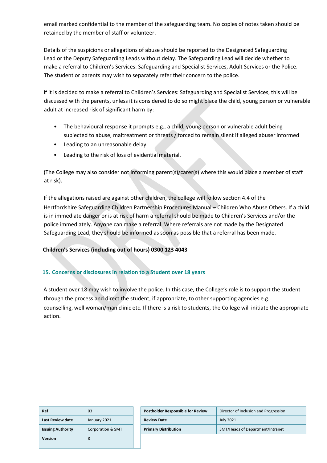email marked confidential to the member of the safeguarding team. No copies of notes taken should be retained by the member of staff or volunteer.

Details of the suspicions or allegations of abuse should be reported to the Designated Safeguarding Lead or the Deputy Safeguarding Leads without delay. The Safeguarding Lead will decide whether to make a referral to Children's Services: Safeguarding and Specialist Services, Adult Services or the Police. The student or parents may wish to separately refer their concern to the police.

If it is decided to make a referral to Children's Services: Safeguarding and Specialist Services, this will be discussed with the parents, unless it is considered to do so might place the child, young person or vulnerable adult at increased risk of significant harm by:

- The behavioural response it prompts e.g., a child, young person or vulnerable adult being subjected to abuse, maltreatment or threats / forced to remain silent if alleged abuser informed
- Leading to an unreasonable delay
- Leading to the risk of loss of evidential material.

(The College may also consider not informing parent(s)/carer(s) where this would place a member of staff at risk).

If the allegations raised are against other children, the college will follow section 4.4 of the Hertfordshire Safeguarding Children Partnership Procedures Manual – Children Who Abuse Others. If a child is in immediate danger or is at risk of harm a referral should be made to Children's Services and/or the police immediately. Anyone can make a referral. Where referrals are not made by the Designated Safeguarding Lead, they should be informed as soon as possible that a referral has been made.

# **Children's Services (including out of hours) 0300 123 4043**

# **15. Concerns or disclosures in relation to a Student over 18 years**

A student over 18 may wish to involve the police. In this case, the College's role is to support the student through the process and direct the student, if appropriate, to other supporting agencies e.g. counselling, well woman/man clinic etc. If there is a risk to students, the College will initiate the appropriate action.

| Ref                      | 03                | <b>Postholder Responsible for Review</b> | Director of Inclusion and Progression |
|--------------------------|-------------------|------------------------------------------|---------------------------------------|
| <b>Last Review date</b>  | January 2021      | <b>Review Date</b>                       | <b>July 2021</b>                      |
| <b>Issuing Authority</b> | Corporation & SMT | <b>Primary Distribution</b>              | SMT/Heads of Department/Intranet      |
| <b>Version</b>           | 8                 |                                          |                                       |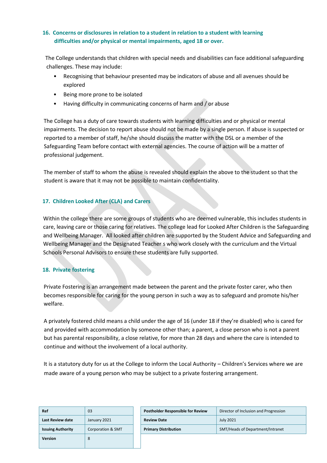# **16. Concerns or disclosures in relation to a student in relation to a student with learning difficulties and/or physical or mental impairments, aged 18 or over.**

The College understands that children with special needs and disabilities can face additional safeguarding challenges. These may include:

- Recognising that behaviour presented may be indicators of abuse and all avenues should be explored
- Being more prone to be isolated
- Having difficulty in communicating concerns of harm and / or abuse

The College has a duty of care towards students with learning difficulties and or physical or mental impairments. The decision to report abuse should not be made by a single person. If abuse is suspected or reported to a member of staff, he/she should discuss the matter with the DSL or a member of the Safeguarding Team before contact with external agencies. The course of action will be a matter of professional judgement.

The member of staff to whom the abuse is revealed should explain the above to the student so that the student is aware that it may not be possible to maintain confidentiality.

# **17. Children Looked After (CLA) and Carers**

Within the college there are some groups of students who are deemed vulnerable, this includes students in care, leaving care or those caring for relatives. The college lead for Looked After Children is the Safeguarding and Wellbeing Manager. All looked after children are supported by the Student Advice and Safeguarding and Wellbeing Manager and the Designated Teacher s who work closely with the curriculum and the Virtual Schools Personal Advisors to ensure these students are fully supported.

# **18. Private fostering**

Private Fostering is an arrangement made between the parent and the private foster carer, who then becomes responsible for caring for the young person in such a way as to safeguard and promote his/her welfare.

A privately fostered child means a child under the age of 16 (under 18 if they're disabled) who is cared for and provided with accommodation by someone other than; a parent, a close person who is not a parent but has parental responsibility, a close relative, for more than 28 days and where the care is intended to continue and without the involvement of a local authority.

It is a statutory duty for us at the College to inform the Local Authority – Children's Services where we are made aware of a young person who may be subject to a private fostering arrangement.

| Ref                      | 03                           |
|--------------------------|------------------------------|
| Last Review date         | January 2021                 |
| <b>Issuing Authority</b> | <b>Corporation &amp; SMT</b> |
| Version                  | 8                            |
|                          |                              |

| Ref               | 03                | <b>Postholder Responsible for Review</b> | Director of Inclusion and Progression |
|-------------------|-------------------|------------------------------------------|---------------------------------------|
| Last Review date  | January 2021      | <b>Review Date</b>                       | July 2021                             |
| Issuing Authority | Corporation & SMT | <b>Primary Distribution</b>              | SMT/Heads of Department/Intranet      |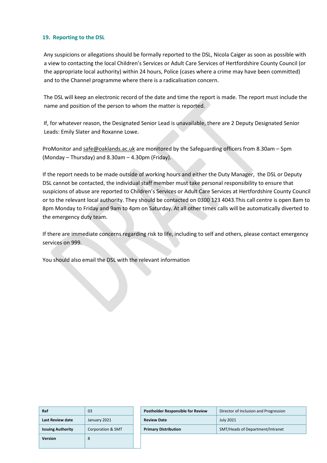#### **19. Reporting to the DSL**

Any suspicions or allegations should be formally reported to the DSL, Nicola Caiger as soon as possible with a view to contacting the local Children's Services or Adult Care Services of Hertfordshire County Council (or the appropriate local authority) within 24 hours, Police (cases where a crime may have been committed) and to the Channel programme where there is a radicalisation concern.

The DSL will keep an electronic record of the date and time the report is made. The report must include the name and position of the person to whom the matter is reported.

If, for whatever reason, the Designated Senior Lead is unavailable, there are 2 Deputy Designated Senior Leads: Emily Slater and Roxanne Lowe.

ProMonitor an[d safe@oaklands.ac.uk](mailto:safe@oaklands.ac.uk) are monitored by the Safeguarding officers from 8.30am - 5pm (Monday – Thursday) and 8.30am – 4.30pm (Friday).

If the report needs to be made outside of working hours and either the Duty Manager, the DSL or Deputy DSL cannot be contacted, the individual staff member must take personal responsibility to ensure that suspicions of abuse are reported to Children's Services or Adult Care Services at Hertfordshire County Council or to the relevant local authority. They should be contacted on 0300 123 4043.This call centre is open 8am to 8pm Monday to Friday and 9am to 4pm on Saturday. At all other times calls will be automatically diverted to the emergency duty team.

If there are immediate concerns regarding risk to life, including to self and others, please contact emergency services on 999.

You should also email the DSL with the relevant information

| Ref                      | 03                | <b>Postholder Responsible for Review</b> | Director of Inclusion and Progression |
|--------------------------|-------------------|------------------------------------------|---------------------------------------|
| Last Review date         | January 2021      | <b>Review Date</b>                       | <b>July 2021</b>                      |
| <b>Issuing Authority</b> | Corporation & SMT | <b>Primary Distribution</b>              | SMT/Heads of Department/Intranet      |
| <b>Version</b>           | 8                 |                                          |                                       |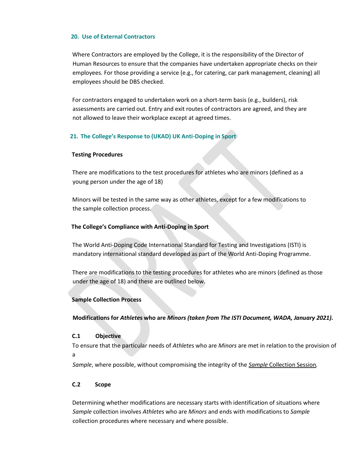#### **20. Use of External Contractors**

Where Contractors are employed by the College, it is the responsibility of the Director of Human Resources to ensure that the companies have undertaken appropriate checks on their employees. For those providing a service (e.g., for catering, car park management, cleaning) all employees should be DBS checked.

For contractors engaged to undertaken work on a short-term basis (e.g., builders), risk assessments are carried out. Entry and exit routes of contractors are agreed, and they are not allowed to leave their workplace except at agreed times.

#### **21. The College's Response to (UKAD) UK Anti-Doping in Sport**

#### **Testing Procedures**

There are modifications to the test procedures for athletes who are minors (defined as a young person under the age of 18)

Minors will be tested in the same way as other athletes, except for a few modifications to the sample collection process.

#### **The College's Compliance with Anti-Doping in Sport**

The World Anti-Doping Code International Standard for Testing and Investigations (ISTI) is mandatory international standard developed as part of the World Anti-Doping Programme.

There are modifications to the testing procedures for athletes who are minors (defined as those under the age of 18) and these are outlined below.

#### **Sample Collection Process**

**Modifications for** *Athlete***s who are** *Minors (taken from The ISTI Document, WADA, January 2021).* 

#### **C.1 Objective**

To ensure that the particular needs of *Athlete*s who are *Minors* are met in relation to the provision of a

*Sample*, where possible, without compromising the integrity of the *Sample* Collection Session*.* 

# **C.2 Scope**

Determining whether modifications are necessary starts with identification of situations where *Sample* collection involves *Athlete*s who are *Minors* and ends with modifications to *Sample*  collection procedures where necessary and where possible.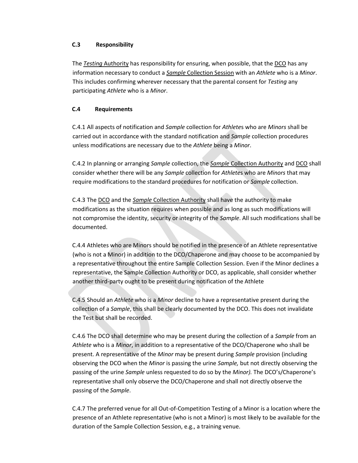# **C.3 Responsibility**

The *Testing* Authority has responsibility for ensuring, when possible, that the DCO has any information necessary to conduct a *Sample* Collection Session with an *Athlete* who is a *Minor*. This includes confirming wherever necessary that the parental consent for *Testing* any participating *Athlete* who is a *Minor*.

### **C.4 Requirements**

C.4.1 All aspects of notification and *Sample* collection for *Athlete*s who are *Minors* shall be carried out in accordance with the standard notification and *Sample* collection procedures unless modifications are necessary due to the *Athlete* being a *Minor*.

C.4.2 In planning or arranging *Sample* collection, the *Sample* Collection Authority and DCO shall consider whether there will be any *Sample* collection for *Athlete*s who are *Minors* that may require modifications to the standard procedures for notification or *Sample* collection.

C.4.3 The DCO and the *Sample* Collection Authority shall have the authority to make modifications as the situation requires when possible and as long as such modifications will not compromise the identity, security or integrity of the *Sample*. All such modifications shall be documented.

C.4.4 Athletes who are Minors should be notified in the presence of an Athlete representative (who is not a Minor) in addition to the DCO/Chaperone and may choose to be accompanied by a representative throughout the entire Sample Collection Session. Even if the Minor declines a representative, the Sample Collection Authority or DCO, as applicable, shall consider whether another third-party ought to be present during notification of the Athlete

C.4.5 Should an *Athlete* who is a *Minor* decline to have a representative present during the collection of a *Sample*, this shall be clearly documented by the DCO. This does not invalidate the Test but shall be recorded.

C.4.6 The DCO shall determine who may be present during the collection of a *Sample* from an *Athlete* who is a *Minor*, in addition to a representative of the DCO/Chaperone who shall be present. A representative of the *Minor* may be present during *Sample* provision (including observing the DCO when the *Minor* is passing the urine *Sample,* but not directly observing the passing of the urine *Sample* unless requested to do so by the *Minor).* The DCO's/Chaperone's representative shall only observe the DCO/Chaperone and shall not directly observe the passing of the *Sample*.

C.4.7 The preferred venue for all Out-of-Competition Testing of a Minor is a location where the presence of an Athlete representative (who is not a Minor) is most likely to be available for the duration of the Sample Collection Session, e.g., a training venue.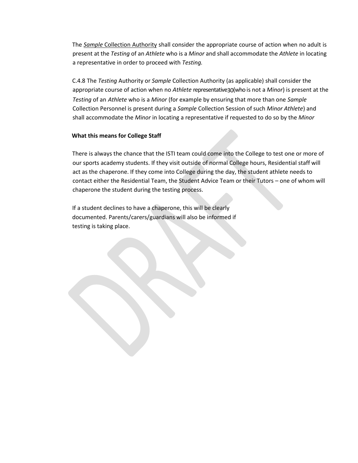The *Sample* Collection Authority shall consider the appropriate course of action when no adult is present at the *Testing* of an *Athlete* who is a *Minor* and shall accommodate the *Athlete* in locating a representative in order to proceed with *Testing.* 

C.4.8 The *Testing* Authority or *Sample* Collection Authority (as applicable) shall consider the appropriate course of action when no *Athlete* representative30(who is not a *Minor*) is present at the *Testing* of an *Athlete* who is a *Minor* (for example by ensuring that more than one *Sample*  Collection Personnel is present during a *Sample* Collection Session of such *Minor Athlete*) and shall accommodate the *Minor* in locating a representative if requested to do so by the *Minor*

#### **What this means for College Staff**

There is always the chance that the ISTI team could come into the College to test one or more of our sports academy students. If they visit outside of normal College hours, Residential staff will act as the chaperone. If they come into College during the day, the student athlete needs to contact either the Residential Team, the Student Advice Team or their Tutors – one of whom will chaperone the student during the testing process.

If a student declines to have a chaperone, this will be clearly documented. Parents/carers/guardians will also be informed if testing is taking place.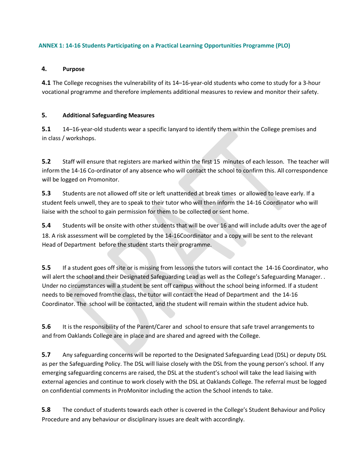# **ANNEX 1: 14-16 Students Participating on a Practical Learning Opportunities Programme (PLO)**

### **4. Purpose**

**4.1** The College recognises the vulnerability of its 14–16-year-old students who come to study for a 3-hour vocational programme and therefore implements additional measures to review and monitor their safety.

### **5. Additional Safeguarding Measures**

**5.1** 14–16-year-old students wear a specific lanyard to identify them within the College premises and in class / workshops.

**5.2** Staff will ensure that registers are marked within the first 15 minutes of each lesson. The teacher will inform the 14-16 Co-ordinator of any absence who will contact the school to confirm this. All correspondence will be logged on Promonitor.

**5.3** Students are not allowed off site or left unattended at break times or allowed to leave early. If a student feels unwell, they are to speak to their tutor who will then inform the 14-16 Coordinator who will liaise with the school to gain permission for them to be collected or sent home.

**5.4** Students will be onsite with other students that will be over 16 and will include adults over the ageof 18. A risk assessment will be completed by the 14-16Coordinator and a copy will be sent to the relevant Head of Department before the student starts their programme.

**5.5** If a student goes off site or is missing from lessons the tutors will contact the 14-16 Coordinator, who will alert the school and their Designated Safeguarding Lead as well as the College's Safeguarding Manager. . Under no circumstances will a student be sent off campus without the school being informed. If a student needs to be removed from the class, the tutor will contact the Head of Department and the 14-16 Coordinator. The school will be contacted, and the student will remain within the student advice hub.

**5.6** It is the responsibility of the Parent/Carer and school to ensure that safe travel arrangements to and from Oaklands College are in place and are shared and agreed with the College.

**5.7** Any safeguarding concerns will be reported to the Designated Safeguarding Lead (DSL) or deputy DSL as per the Safeguarding Policy. The DSL will liaise closely with the DSL from the young person's school. If any emerging safeguarding concerns are raised, the DSL at the student's school will take the lead liaising with external agencies and continue to work closely with the DSL at Oaklands College. The referral must be logged on confidential comments in ProMonitor including the action the School intends to take.

**5.8** The conduct of students towards each other is covered in the College's Student Behaviour and Policy Procedure and any behaviour or disciplinary issues are dealt with accordingly.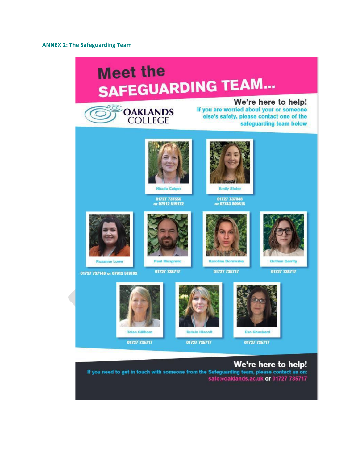#### **ANNEX 2: The Safeguarding Team**



# We're here to help!

If you need to get in touch with someone from the Safeguarding team, please contact us on: safe@oaklands.ac.uk or 01727 735717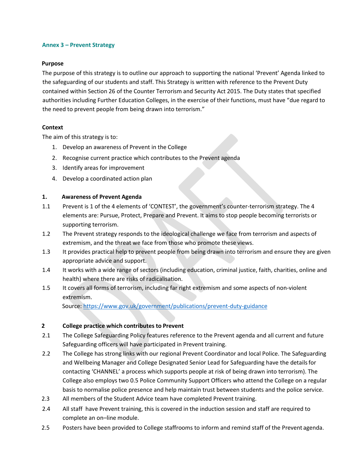#### **Annex 3 – Prevent Strategy**

#### **Purpose**

The purpose of this strategy is to outline our approach to supporting the national 'Prevent' Agenda linked to the safeguarding of our students and staff. This Strategy is written with reference to the Prevent Duty contained within Section 26 of the Counter Terrorism and Security Act 2015. The Duty states that specified authorities including Further Education Colleges, in the exercise of their functions, must have "due regard to the need to prevent people from being drawn into terrorism."

#### **Context**

The aim of this strategy is to:

- 1. Develop an awareness of Prevent in the College
- 2. Recognise current practice which contributes to the Prevent agenda
- 3. Identify areas for improvement
- 4. Develop a coordinated action plan

#### **1. Awareness of Prevent Agenda**

- 1.1 Prevent is 1 of the 4 elements of 'CONTEST', the government's counter-terrorism strategy. The 4 elements are: Pursue, Protect, Prepare and Prevent. It aims to stop people becoming terrorists or supporting terrorism.
- 1.2 The Prevent strategy responds to the ideological challenge we face from terrorism and aspects of extremism, and the threat we face from those who promote these views.
- 1.3 It provides practical help to prevent people from being drawn into terrorism and ensure they are given appropriate advice and support.
- 1.4 It works with a wide range of sectors (including education, criminal justice, faith, charities, online and health) where there are risks of radicalisation.
- 1.5 It covers all forms of terrorism, including far right extremism and some aspects of non-violent extremism.

Source[: https://www.gov.uk/government/publications/prevent-duty-guidance](https://www.gov.uk/government/publications/prevent-duty-guidance)

#### **2 College practice which contributes to Prevent**

- 2.1 The College Safeguarding Policy features reference to the Prevent agenda and all current and future Safeguarding officers will have participated in Prevent training.
- 2.2 The College has strong links with our regional Prevent Coordinator and local Police. The Safeguarding and Wellbeing Manager and College Designated Senior Lead for Safeguarding have the details for contacting 'CHANNEL' a process which supports people at risk of being drawn into terrorism). The College also employs two 0.5 Police Community Support Officers who attend the College on a regular basis to normalise police presence and help maintain trust between students and the police service.
- 2.3 All members of the Student Advice team have completed Prevent training.
- 2.4 All staff have Prevent training, this is covered in the induction session and staff are required to complete an on–line module.
- 2.5 Posters have been provided to College staffrooms to inform and remind staff of the Prevent agenda.